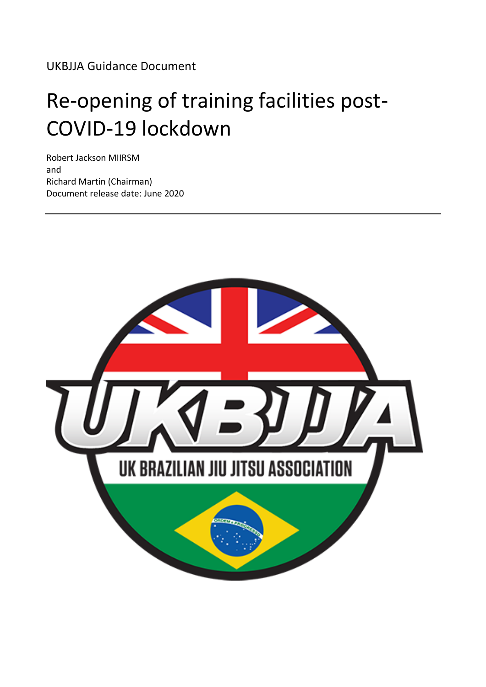UKBJJA Guidance Document

# Re-opening of training facilities post-COVID-19 lockdown

Robert Jackson MIIRSM and Richard Martin (Chairman) Document release date: June 2020

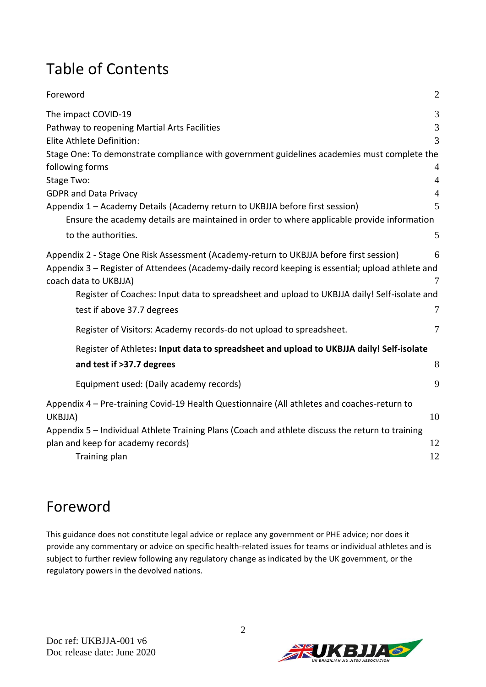## Table of Contents

| Foreword                                                                                                                                                                                                             | $\overline{2}$ |
|----------------------------------------------------------------------------------------------------------------------------------------------------------------------------------------------------------------------|----------------|
| The impact COVID-19                                                                                                                                                                                                  | 3              |
| Pathway to reopening Martial Arts Facilities                                                                                                                                                                         | 3              |
| Elite Athlete Definition:                                                                                                                                                                                            | $\overline{3}$ |
| Stage One: To demonstrate compliance with government guidelines academies must complete the                                                                                                                          |                |
| following forms                                                                                                                                                                                                      | $\overline{4}$ |
| Stage Two:                                                                                                                                                                                                           | $\overline{4}$ |
| <b>GDPR and Data Privacy</b>                                                                                                                                                                                         | $\overline{4}$ |
| Appendix 1 - Academy Details (Academy return to UKBJJA before first session)                                                                                                                                         | 5              |
| Ensure the academy details are maintained in order to where applicable provide information                                                                                                                           |                |
| to the authorities.                                                                                                                                                                                                  | 5              |
| Appendix 2 - Stage One Risk Assessment (Academy-return to UKBJJA before first session)<br>Appendix 3 - Register of Attendees (Academy-daily record keeping is essential; upload athlete and<br>coach data to UKBJJA) | 6<br>7         |
| Register of Coaches: Input data to spreadsheet and upload to UKBJJA daily! Self-isolate and                                                                                                                          |                |
| test if above 37.7 degrees                                                                                                                                                                                           | 7              |
| Register of Visitors: Academy records-do not upload to spreadsheet.                                                                                                                                                  | $\overline{7}$ |
| Register of Athletes: Input data to spreadsheet and upload to UKBJJA daily! Self-isolate                                                                                                                             |                |
| and test if >37.7 degrees                                                                                                                                                                                            | 8              |
| Equipment used: (Daily academy records)                                                                                                                                                                              | 9              |
| Appendix 4 - Pre-training Covid-19 Health Questionnaire (All athletes and coaches-return to<br>UKBJJA)                                                                                                               | 10             |
| Appendix 5 - Individual Athlete Training Plans (Coach and athlete discuss the return to training                                                                                                                     |                |
| plan and keep for academy records)                                                                                                                                                                                   | 12             |
| Training plan                                                                                                                                                                                                        | 12             |

### <span id="page-1-0"></span>Foreword

This guidance does not constitute legal advice or replace any government or PHE advice; nor does it provide any commentary or advice on specific health-related issues for teams or individual athletes and is subject to further review following any regulatory change as indicated by the UK government, or the regulatory powers in the devolved nations.

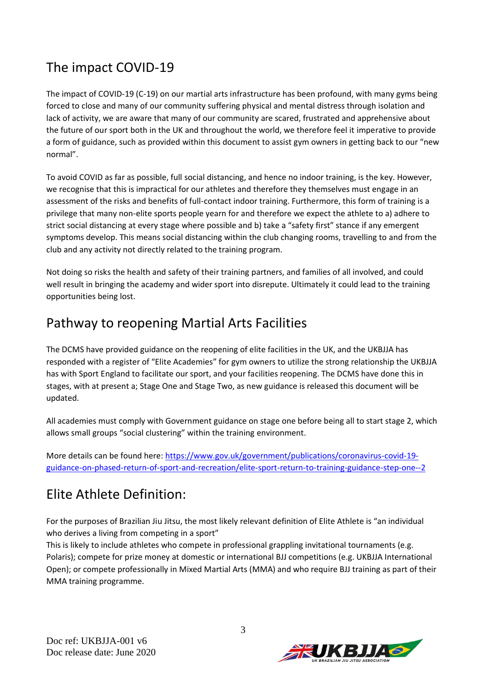## <span id="page-2-0"></span>The impact COVID-19

The impact of COVID-19 (C-19) on our martial arts infrastructure has been profound, with many gyms being forced to close and many of our community suffering physical and mental distress through isolation and lack of activity, we are aware that many of our community are scared, frustrated and apprehensive about the future of our sport both in the UK and throughout the world, we therefore feel it imperative to provide a form of guidance, such as provided within this document to assist gym owners in getting back to our "new normal".

To avoid COVID as far as possible, full social distancing, and hence no indoor training, is the key. However, we recognise that this is impractical for our athletes and therefore they themselves must engage in an assessment of the risks and benefits of full-contact indoor training. Furthermore, this form of training is a privilege that many non-elite sports people yearn for and therefore we expect the athlete to a) adhere to strict social distancing at every stage where possible and b) take a "safety first" stance if any emergent symptoms develop. This means social distancing within the club changing rooms, travelling to and from the club and any activity not directly related to the training program.

Not doing so risks the health and safety of their training partners, and families of all involved, and could well result in bringing the academy and wider sport into disrepute. Ultimately it could lead to the training opportunities being lost.

#### <span id="page-2-1"></span>Pathway to reopening Martial Arts Facilities

The DCMS have provided guidance on the reopening of elite facilities in the UK, and the UKBJJA has responded with a register of "Elite Academies" for gym owners to utilize the strong relationship the UKBJJA has with Sport England to facilitate our sport, and your facilities reopening. The DCMS have done this in stages, with at present a; Stage One and Stage Two, as new guidance is released this document will be updated.

All academies must comply with Government guidance on stage one before being all to start stage 2, which allows small groups "social clustering" within the training environment.

More details can be found here[: https://www.gov.uk/government/publications/coronavirus-covid-19](https://www.gov.uk/government/publications/coronavirus-covid-19-guidance-on-phased-return-of-sport-and-recreation/elite-sport-return-to-training-guidance-step-one--2) [guidance-on-phased-return-of-sport-and-recreation/elite-sport-return-to-training-guidance-step-one--2](https://www.gov.uk/government/publications/coronavirus-covid-19-guidance-on-phased-return-of-sport-and-recreation/elite-sport-return-to-training-guidance-step-one--2)

### <span id="page-2-2"></span>Elite Athlete Definition:

For the purposes of Brazilian Jiu Jitsu, the most likely relevant definition of Elite Athlete is "an individual who derives a living from competing in a sport"

This is likely to include athletes who compete in professional grappling invitational tournaments (e.g. Polaris); compete for prize money at domestic or international BJJ competitions (e.g. UKBJJA International Open); or compete professionally in Mixed Martial Arts (MMA) and who require BJJ training as part of their MMA training programme.

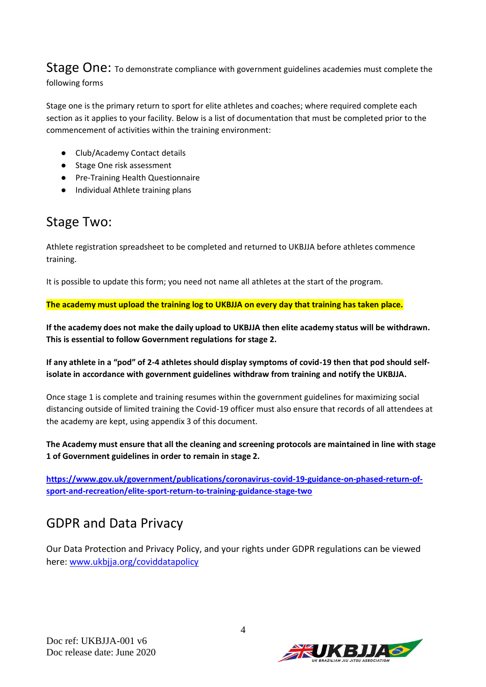<span id="page-3-0"></span>Stage One: To demonstrate compliance with government guidelines academies must complete the following forms

Stage one is the primary return to sport for elite athletes and coaches; where required complete each section as it applies to your facility. Below is a list of documentation that must be completed prior to the commencement of activities within the training environment:

- Club/Academy Contact details
- Stage One risk assessment
- Pre-Training Health Questionnaire
- Individual Athlete training plans

#### <span id="page-3-1"></span>Stage Two:

Athlete registration spreadsheet to be completed and returned to UKBJJA before athletes commence training.

It is possible to update this form; you need not name all athletes at the start of the program.

**The academy must upload the training log to UKBJJA on every day that training has taken place.**

**If the academy does not make the daily upload to UKBJJA then elite academy status will be withdrawn. This is essential to follow Government regulations for stage 2.** 

**If any athlete in a "pod" of 2-4 athletes should display symptoms of covid-19 then that pod should selfisolate in accordance with government guidelines withdraw from training and notify the UKBJJA.** 

Once stage 1 is complete and training resumes within the government guidelines for maximizing social distancing outside of limited training the Covid-19 officer must also ensure that records of all attendees at the academy are kept, using appendix 3 of this document.

**The Academy must ensure that all the cleaning and screening protocols are maintained in line with stage 1 of Government guidelines in order to remain in stage 2.** 

**[https://www.gov.uk/government/publications/coronavirus-covid-19-guidance-on-phased-return-of](https://www.gov.uk/government/publications/coronavirus-covid-19-guidance-on-phased-return-of-sport-and-recreation/elite-sport-return-to-training-guidance-stage-two)[sport-and-recreation/elite-sport-return-to-training-guidance-stage-two](https://www.gov.uk/government/publications/coronavirus-covid-19-guidance-on-phased-return-of-sport-and-recreation/elite-sport-return-to-training-guidance-stage-two)**

#### <span id="page-3-2"></span>GDPR and Data Privacy

Our Data Protection and Privacy Policy, and your rights under GDPR regulations can be viewed here: [www.ukbjja.org/coviddatapolicy](http://www.ukbjja.org/coviddatapolicy)

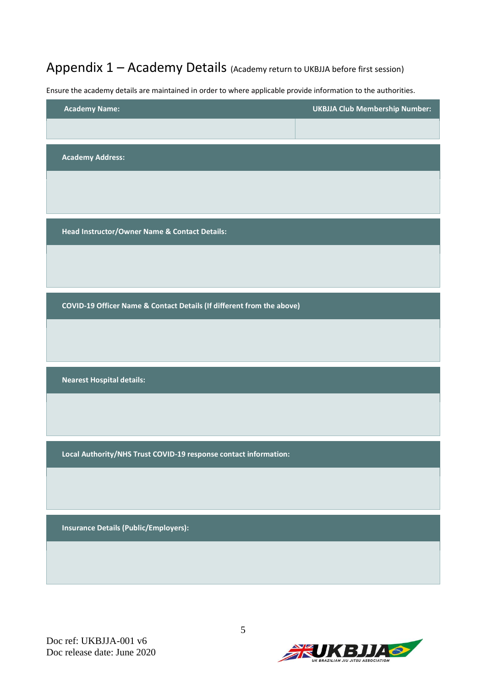<span id="page-4-0"></span>Appendix 1 – Academy Details (Academy return to UKBJJA before first session)

<span id="page-4-1"></span>Ensure the academy details are maintained in order to where applicable provide information to the authorities.

| <b>UKBJJA Club Membership Number:</b>                                 |
|-----------------------------------------------------------------------|
|                                                                       |
|                                                                       |
|                                                                       |
|                                                                       |
|                                                                       |
|                                                                       |
|                                                                       |
| COVID-19 Officer Name & Contact Details (If different from the above) |
|                                                                       |
|                                                                       |
|                                                                       |
|                                                                       |
|                                                                       |
|                                                                       |
|                                                                       |
|                                                                       |
|                                                                       |
|                                                                       |
|                                                                       |
|                                                                       |
|                                                                       |
|                                                                       |

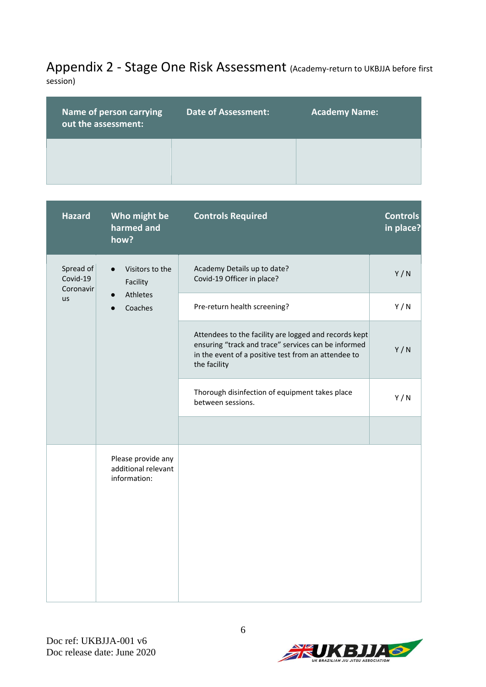## <span id="page-5-0"></span>Appendix 2 - Stage One Risk Assessment (Academy-return to UKBJJA before first

session)

| Name of person carrying<br>out the assessment: | <b>Date of Assessment:</b> | <b>Academy Name:</b> |
|------------------------------------------------|----------------------------|----------------------|
|                                                |                            |                      |

| <b>Hazard</b>                      | Who might be<br>harmed and<br>how?                        | <b>Controls Required</b>                                                                                                                                                            | <b>Controls</b><br>in place? |
|------------------------------------|-----------------------------------------------------------|-------------------------------------------------------------------------------------------------------------------------------------------------------------------------------------|------------------------------|
| Spread of<br>Covid-19<br>Coronavir | Visitors to the<br>$\bullet$<br>Facility                  | Academy Details up to date?<br>Covid-19 Officer in place?                                                                                                                           | Y/N                          |
| us                                 | Athletes<br>$\bullet$<br>Coaches                          | Pre-return health screening?                                                                                                                                                        | Y/N                          |
|                                    |                                                           | Attendees to the facility are logged and records kept<br>ensuring "track and trace" services can be informed<br>in the event of a positive test from an attendee to<br>the facility | Y/N                          |
|                                    |                                                           | Thorough disinfection of equipment takes place<br>between sessions.                                                                                                                 | Y/N                          |
|                                    |                                                           |                                                                                                                                                                                     |                              |
|                                    | Please provide any<br>additional relevant<br>information: |                                                                                                                                                                                     |                              |

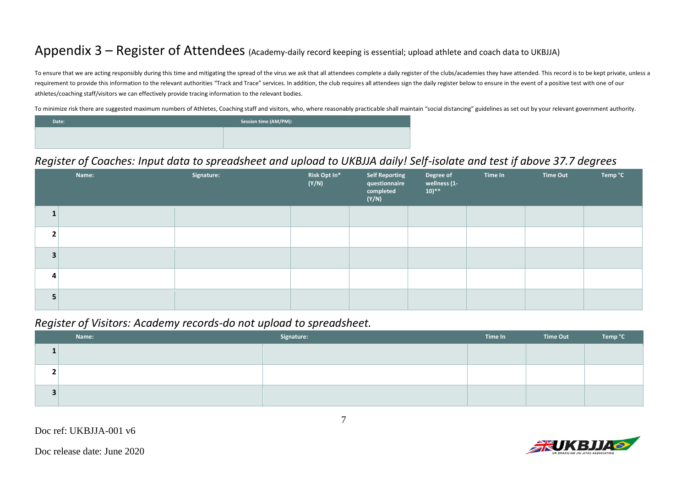#### Appendix 3 – Register of Attendees (Academy-daily record keeping is essential; upload athlete and coach data to UKBJJA)

To ensure that we are acting responsibly during this time and mitigating the spread of the virus we ask that all attendees complete a daily register of the clubs/academies they have attended. This record is to be kept priv requirement to provide this information to the relevant authorities "Track and Trace" services. In addition, the club requires all attendees sign the daily register below to ensure in the event of a positive test with one athletes/coaching staff/visitors we can effectively provide tracing information to the relevant bodies.

To minimize risk there are suggested maximum numbers of Athletes, Coaching staff and visitors, who, where reasonably practicable shall maintain "social distancing" guidelines as set out by your relevant government authorit

| Date: | Session time (AM/PM): |
|-------|-----------------------|
|       |                       |
|       |                       |

#### *Register of Coaches: Input data to spreadsheet and upload to UKBJJA daily! Self-isolate and test if above 37.7 degrees*

<span id="page-6-0"></span>

|   | Name: | Signature: | Risk Opt In*<br>(Y/N) | <b>Self Reporting</b><br>questionnaire<br>completed<br>(Y/N) | Degree of<br>wellness (1-<br>$(10)$ ** | Time In | Time Out | Temp °C |
|---|-------|------------|-----------------------|--------------------------------------------------------------|----------------------------------------|---------|----------|---------|
|   |       |            |                       |                                                              |                                        |         |          |         |
|   |       |            |                       |                                                              |                                        |         |          |         |
|   |       |            |                       |                                                              |                                        |         |          |         |
| 4 |       |            |                       |                                                              |                                        |         |          |         |
|   |       |            |                       |                                                              |                                        |         |          |         |

#### *Register of Visitors: Academy records-do not upload to spreadsheet.*

<span id="page-6-1"></span>

| Name: | Signature: | Time In | Time Out | Temp °C |
|-------|------------|---------|----------|---------|
|       |            |         |          |         |
|       |            |         |          |         |
|       |            |         |          |         |

<span id="page-6-2"></span>Doc release date: June 2020

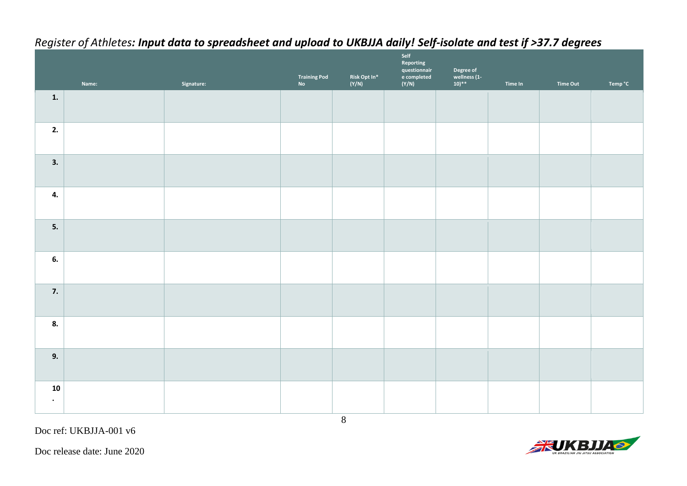<span id="page-7-0"></span>

|                 | Name: | Signature: | Training Pod<br>No | Risk Opt $\mathsf{In}^*$<br>(Y/N) | Self<br>Reporting<br>questionnair<br>e completed<br>(Y/N) | Degree of<br>wellness (1-<br>10)** | Time In | Time Out | Temp °C |
|-----------------|-------|------------|--------------------|-----------------------------------|-----------------------------------------------------------|------------------------------------|---------|----------|---------|
| $\mathbf{1}$ .  |       |            |                    |                                   |                                                           |                                    |         |          |         |
| 2.              |       |            |                    |                                   |                                                           |                                    |         |          |         |
| 3.              |       |            |                    |                                   |                                                           |                                    |         |          |         |
| 4.              |       |            |                    |                                   |                                                           |                                    |         |          |         |
| 5.              |       |            |                    |                                   |                                                           |                                    |         |          |         |
| 6.              |       |            |                    |                                   |                                                           |                                    |         |          |         |
| 7.              |       |            |                    |                                   |                                                           |                                    |         |          |         |
| 8.              |       |            |                    |                                   |                                                           |                                    |         |          |         |
| 9.              |       |            |                    |                                   |                                                           |                                    |         |          |         |
| 10<br>$\bullet$ |       |            |                    |                                   |                                                           |                                    |         |          |         |

8

#### *Register of Athletes: Input data to spreadsheet and upload to UKBJJA daily! Self-isolate and test if >37.7 degrees*

Doc ref: UKBJJA-001 v6



Doc release date: June 2020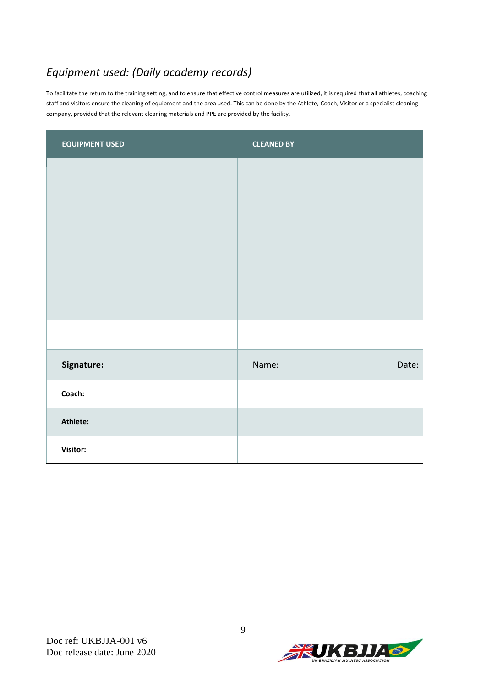#### <span id="page-8-0"></span>*Equipment used: (Daily academy records)*

To facilitate the return to the training setting, and to ensure that effective control measures are utilized, it is required that all athletes, coaching staff and visitors ensure the cleaning of equipment and the area used. This can be done by the Athlete, Coach, Visitor or a specialist cleaning company, provided that the relevant cleaning materials and PPE are provided by the facility.

| <b>EQUIPMENT USED</b> | <b>CLEANED BY</b> |       |
|-----------------------|-------------------|-------|
|                       |                   |       |
|                       |                   |       |
|                       |                   |       |
|                       |                   |       |
|                       |                   |       |
|                       |                   |       |
|                       |                   |       |
| Signature:            | Name:             | Date: |
| Coach:                |                   |       |
| Athlete:              |                   |       |
| Visitor:              |                   |       |

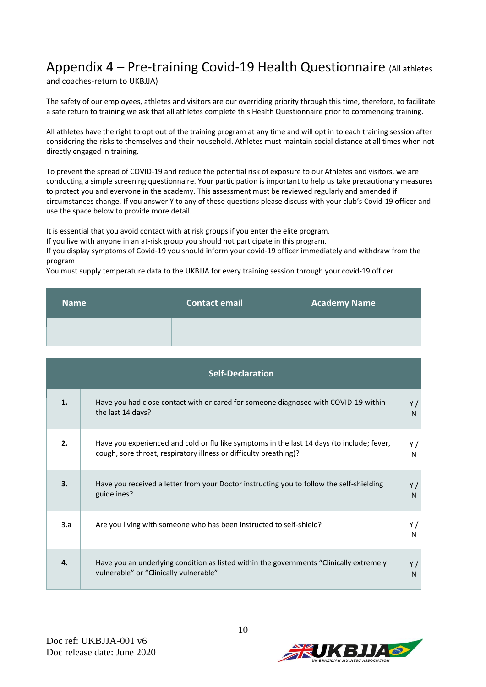## <span id="page-9-0"></span>Appendix 4 – Pre-training Covid-19 Health Questionnaire (All athletes

and coaches-return to UKBJJA)

The safety of our employees, athletes and visitors are our overriding priority through this time, therefore, to facilitate a safe return to training we ask that all athletes complete this Health Questionnaire prior to commencing training.

All athletes have the right to opt out of the training program at any time and will opt in to each training session after considering the risks to themselves and their household. Athletes must maintain social distance at all times when not directly engaged in training.

To prevent the spread of COVID-19 and reduce the potential risk of exposure to our Athletes and visitors, we are conducting a simple screening questionnaire. Your participation is important to help us take precautionary measures to protect you and everyone in the academy. This assessment must be reviewed regularly and amended if circumstances change. If you answer Y to any of these questions please discuss with your club's Covid-19 officer and use the space below to provide more detail.

It is essential that you avoid contact with at risk groups if you enter the elite program.

If you live with anyone in an at-risk group you should not participate in this program.

If you display symptoms of Covid-19 you should inform your covid-19 officer immediately and withdraw from the program

You must supply temperature data to the UKBJJA for every training session through your covid-19 officer

| <b>Name</b> | <b>Contact email</b> | <b>Academy Name</b> |
|-------------|----------------------|---------------------|
|             |                      |                     |

| <b>Self-Declaration</b> |                                                                                                                                                                 |                      |  |  |
|-------------------------|-----------------------------------------------------------------------------------------------------------------------------------------------------------------|----------------------|--|--|
| 1.                      | Have you had close contact with or cared for someone diagnosed with COVID-19 within<br>the last 14 days?                                                        | Y/<br>N              |  |  |
| 2.                      | Have you experienced and cold or flu like symptoms in the last 14 days (to include; fever,<br>cough, sore throat, respiratory illness or difficulty breathing)? | Y /<br>N             |  |  |
| 3.                      | Have you received a letter from your Doctor instructing you to follow the self-shielding<br>guidelines?                                                         | Y/<br>$\mathsf{N}$   |  |  |
| 3.a                     | Are you living with someone who has been instructed to self-shield?                                                                                             | Y /<br>N             |  |  |
| 4.                      | Have you an underlying condition as listed within the governments "Clinically extremely<br>vulnerable" or "Clinically vulnerable"                               | Y/<br>N <sub>1</sub> |  |  |

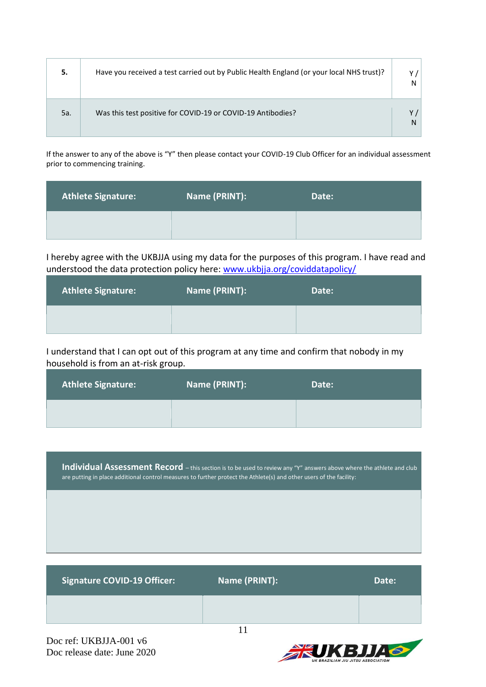| 5.  | Have you received a test carried out by Public Health England (or your local NHS trust)? |  |
|-----|------------------------------------------------------------------------------------------|--|
| 5a. | Was this test positive for COVID-19 or COVID-19 Antibodies?                              |  |

If the answer to any of the above is "Y" then please contact your COVID-19 Club Officer for an individual assessment prior to commencing training.

| <b>Athlete Signature:</b> | Name (PRINT): | Date: |
|---------------------------|---------------|-------|
|                           |               |       |

I hereby agree with the UKBJJA using my data for the purposes of this program. I have read and understood the data protection policy here: www.ukbija.org/coviddatapolicy/

| <b>Athlete Signature:</b> | Name (PRINT): | Date: |
|---------------------------|---------------|-------|
|                           |               |       |

I understand that I can opt out of this program at any time and confirm that nobody in my household is from an at-risk group.

| <b>Athlete Signature:</b> | Name (PRINT): | Date: |
|---------------------------|---------------|-------|
|                           |               |       |

**Individual Assessment Record** – this section is to be used to review any "Y" answers above where the athlete and club are putting in place additional control measures to further protect the Athlete(s) and other users of the facility:

| <b>Signature COVID-19 Officer:</b> | Name (PRINT): | Date: |
|------------------------------------|---------------|-------|
|                                    |               |       |

Doc ref: UKBJJA-001 v6 Doc release date: June 2020